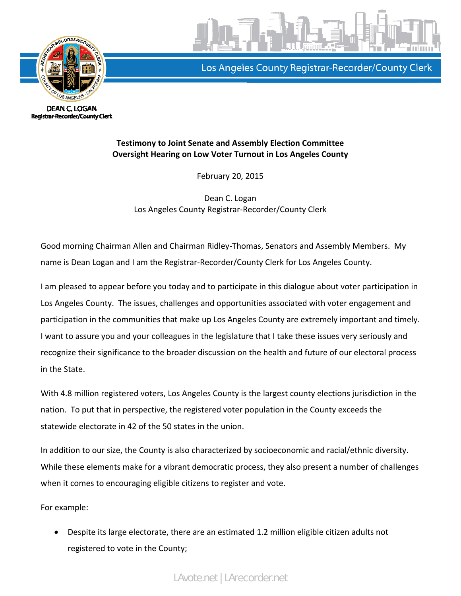



Los Angeles County Registrar-Recorder/County Clerk

#### **Testimony to Joint Senate and Assembly Election Committee Oversight Hearing on Low Voter Turnout in Los Angeles County**

February 20, 2015

Dean C. Logan Los Angeles County Registrar‐Recorder/County Clerk

Good morning Chairman Allen and Chairman Ridley‐Thomas, Senators and Assembly Members. My name is Dean Logan and I am the Registrar‐Recorder/County Clerk for Los Angeles County.

I am pleased to appear before you today and to participate in this dialogue about voter participation in Los Angeles County. The issues, challenges and opportunities associated with voter engagement and participation in the communities that make up Los Angeles County are extremely important and timely. I want to assure you and your colleagues in the legislature that I take these issues very seriously and recognize their significance to the broader discussion on the health and future of our electoral process in the State.

With 4.8 million registered voters, Los Angeles County is the largest county elections jurisdiction in the nation. To put that in perspective, the registered voter population in the County exceeds the statewide electorate in 42 of the 50 states in the union.

In addition to our size, the County is also characterized by socioeconomic and racial/ethnic diversity. While these elements make for a vibrant democratic process, they also present a number of challenges when it comes to encouraging eligible citizens to register and vote.

For example:

• Despite its large electorate, there are an estimated 1.2 million eligible citizen adults not registered to vote in the County;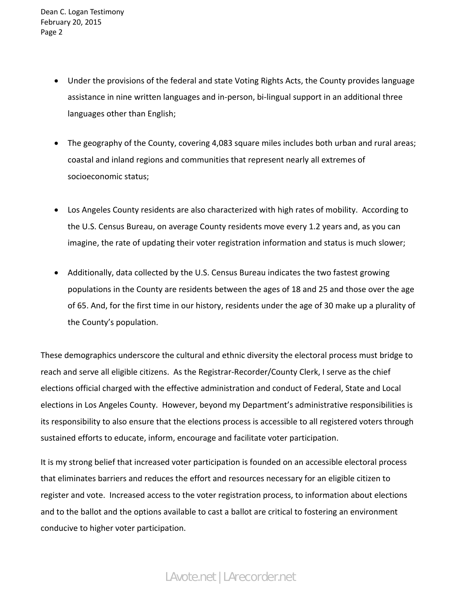- Under the provisions of the federal and state Voting Rights Acts, the County provides language assistance in nine written languages and in‐person, bi‐lingual support in an additional three languages other than English;
- The geography of the County, covering 4,083 square miles includes both urban and rural areas; coastal and inland regions and communities that represent nearly all extremes of socioeconomic status;
- Los Angeles County residents are also characterized with high rates of mobility. According to the U.S. Census Bureau, on average County residents move every 1.2 years and, as you can imagine, the rate of updating their voter registration information and status is much slower;
- Additionally, data collected by the U.S. Census Bureau indicates the two fastest growing populations in the County are residents between the ages of 18 and 25 and those over the age of 65. And, for the first time in our history, residents under the age of 30 make up a plurality of the County's population.

These demographics underscore the cultural and ethnic diversity the electoral process must bridge to reach and serve all eligible citizens. As the Registrar‐Recorder/County Clerk, I serve as the chief elections official charged with the effective administration and conduct of Federal, State and Local elections in Los Angeles County. However, beyond my Department's administrative responsibilities is its responsibility to also ensure that the elections process is accessible to all registered voters through sustained efforts to educate, inform, encourage and facilitate voter participation.

It is my strong belief that increased voter participation is founded on an accessible electoral process that eliminates barriers and reduces the effort and resources necessary for an eligible citizen to register and vote. Increased access to the voter registration process, to information about elections and to the ballot and the options available to cast a ballot are critical to fostering an environment conducive to higher voter participation.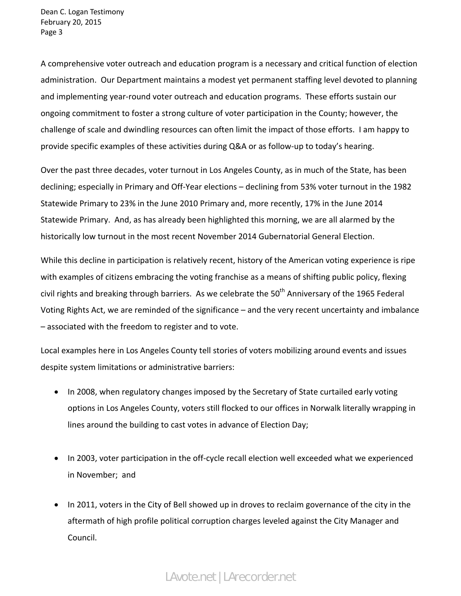A comprehensive voter outreach and education program is a necessary and critical function of election administration. Our Department maintains a modest yet permanent staffing level devoted to planning and implementing year-round voter outreach and education programs. These efforts sustain our ongoing commitment to foster a strong culture of voter participation in the County; however, the challenge of scale and dwindling resources can often limit the impact of those efforts. I am happy to provide specific examples of these activities during Q&A or as follow‐up to today's hearing.

Over the past three decades, voter turnout in Los Angeles County, as in much of the State, has been declining; especially in Primary and Off‐Year elections – declining from 53% voter turnout in the 1982 Statewide Primary to 23% in the June 2010 Primary and, more recently, 17% in the June 2014 Statewide Primary. And, as has already been highlighted this morning, we are all alarmed by the historically low turnout in the most recent November 2014 Gubernatorial General Election.

While this decline in participation is relatively recent, history of the American voting experience is ripe with examples of citizens embracing the voting franchise as a means of shifting public policy, flexing civil rights and breaking through barriers. As we celebrate the 50<sup>th</sup> Anniversary of the 1965 Federal Voting Rights Act, we are reminded of the significance – and the very recent uncertainty and imbalance – associated with the freedom to register and to vote.

Local examples here in Los Angeles County tell stories of voters mobilizing around events and issues despite system limitations or administrative barriers:

- In 2008, when regulatory changes imposed by the Secretary of State curtailed early voting options in Los Angeles County, voters still flocked to our offices in Norwalk literally wrapping in lines around the building to cast votes in advance of Election Day;
- In 2003, voter participation in the off-cycle recall election well exceeded what we experienced in November; and
- In 2011, voters in the City of Bell showed up in droves to reclaim governance of the city in the aftermath of high profile political corruption charges leveled against the City Manager and Council.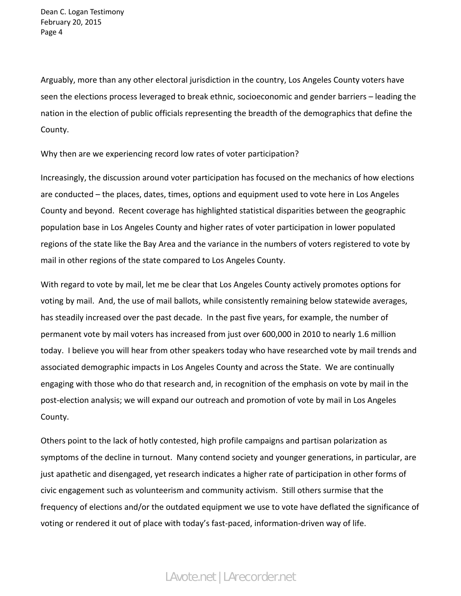Arguably, more than any other electoral jurisdiction in the country, Los Angeles County voters have seen the elections process leveraged to break ethnic, socioeconomic and gender barriers – leading the nation in the election of public officials representing the breadth of the demographics that define the County.

Why then are we experiencing record low rates of voter participation?

Increasingly, the discussion around voter participation has focused on the mechanics of how elections are conducted – the places, dates, times, options and equipment used to vote here in Los Angeles County and beyond. Recent coverage has highlighted statistical disparities between the geographic population base in Los Angeles County and higher rates of voter participation in lower populated regions of the state like the Bay Area and the variance in the numbers of voters registered to vote by mail in other regions of the state compared to Los Angeles County.

With regard to vote by mail, let me be clear that Los Angeles County actively promotes options for voting by mail. And, the use of mail ballots, while consistently remaining below statewide averages, has steadily increased over the past decade. In the past five years, for example, the number of permanent vote by mail voters has increased from just over 600,000 in 2010 to nearly 1.6 million today. I believe you will hear from other speakers today who have researched vote by mail trends and associated demographic impacts in Los Angeles County and across the State. We are continually engaging with those who do that research and, in recognition of the emphasis on vote by mail in the post‐election analysis; we will expand our outreach and promotion of vote by mail in Los Angeles County.

Others point to the lack of hotly contested, high profile campaigns and partisan polarization as symptoms of the decline in turnout. Many contend society and younger generations, in particular, are just apathetic and disengaged, yet research indicates a higher rate of participation in other forms of civic engagement such as volunteerism and community activism. Still others surmise that the frequency of elections and/or the outdated equipment we use to vote have deflated the significance of voting or rendered it out of place with today's fast‐paced, information‐driven way of life.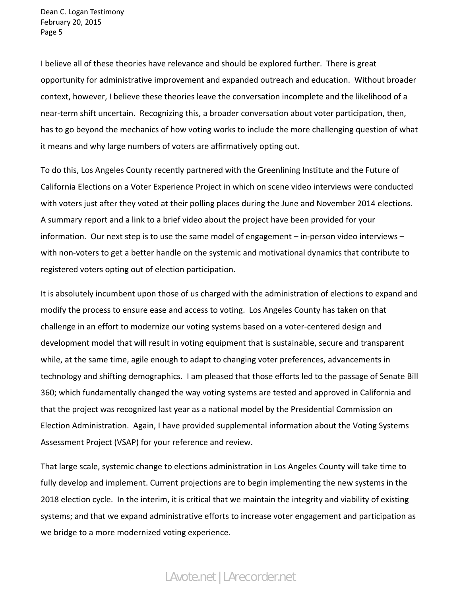I believe all of these theories have relevance and should be explored further. There is great opportunity for administrative improvement and expanded outreach and education. Without broader context, however, I believe these theories leave the conversation incomplete and the likelihood of a near-term shift uncertain. Recognizing this, a broader conversation about voter participation, then, has to go beyond the mechanics of how voting works to include the more challenging question of what it means and why large numbers of voters are affirmatively opting out.

To do this, Los Angeles County recently partnered with the Greenlining Institute and the Future of California Elections on a Voter Experience Project in which on scene video interviews were conducted with voters just after they voted at their polling places during the June and November 2014 elections. A summary report and a link to a brief video about the project have been provided for your information. Our next step is to use the same model of engagement – in-person video interviews – with non-voters to get a better handle on the systemic and motivational dynamics that contribute to registered voters opting out of election participation.

It is absolutely incumbent upon those of us charged with the administration of elections to expand and modify the process to ensure ease and access to voting. Los Angeles County has taken on that challenge in an effort to modernize our voting systems based on a voter‐centered design and development model that will result in voting equipment that is sustainable, secure and transparent while, at the same time, agile enough to adapt to changing voter preferences, advancements in technology and shifting demographics. I am pleased that those efforts led to the passage of Senate Bill 360; which fundamentally changed the way voting systems are tested and approved in California and that the project was recognized last year as a national model by the Presidential Commission on Election Administration. Again, I have provided supplemental information about the Voting Systems Assessment Project (VSAP) for your reference and review.

That large scale, systemic change to elections administration in Los Angeles County will take time to fully develop and implement. Current projections are to begin implementing the new systems in the 2018 election cycle. In the interim, it is critical that we maintain the integrity and viability of existing systems; and that we expand administrative efforts to increase voter engagement and participation as we bridge to a more modernized voting experience.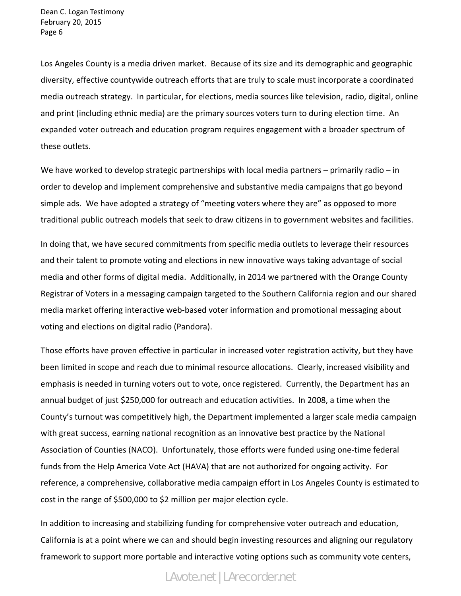Los Angeles County is a media driven market. Because of its size and its demographic and geographic diversity, effective countywide outreach efforts that are truly to scale must incorporate a coordinated media outreach strategy. In particular, for elections, media sources like television, radio, digital, online and print (including ethnic media) are the primary sources voters turn to during election time. An expanded voter outreach and education program requires engagement with a broader spectrum of these outlets.

We have worked to develop strategic partnerships with local media partners – primarily radio – in order to develop and implement comprehensive and substantive media campaigns that go beyond simple ads. We have adopted a strategy of "meeting voters where they are" as opposed to more traditional public outreach models that seek to draw citizens in to government websites and facilities.

In doing that, we have secured commitments from specific media outlets to leverage their resources and their talent to promote voting and elections in new innovative ways taking advantage of social media and other forms of digital media. Additionally, in 2014 we partnered with the Orange County Registrar of Voters in a messaging campaign targeted to the Southern California region and our shared media market offering interactive web‐based voter information and promotional messaging about voting and elections on digital radio (Pandora).

Those efforts have proven effective in particular in increased voter registration activity, but they have been limited in scope and reach due to minimal resource allocations. Clearly, increased visibility and emphasis is needed in turning voters out to vote, once registered. Currently, the Department has an annual budget of just \$250,000 for outreach and education activities. In 2008, a time when the County's turnout was competitively high, the Department implemented a larger scale media campaign with great success, earning national recognition as an innovative best practice by the National Association of Counties (NACO). Unfortunately, those efforts were funded using one‐time federal funds from the Help America Vote Act (HAVA) that are not authorized for ongoing activity. For reference, a comprehensive, collaborative media campaign effort in Los Angeles County is estimated to cost in the range of \$500,000 to \$2 million per major election cycle.

In addition to increasing and stabilizing funding for comprehensive voter outreach and education, California is at a point where we can and should begin investing resources and aligning our regulatory framework to support more portable and interactive voting options such as community vote centers,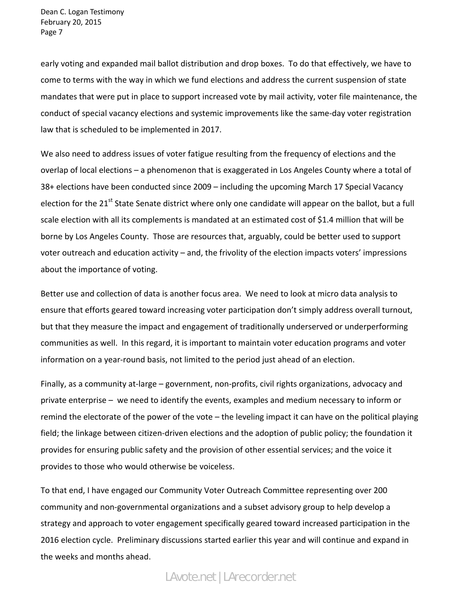early voting and expanded mail ballot distribution and drop boxes. To do that effectively, we have to come to terms with the way in which we fund elections and address the current suspension of state mandates that were put in place to support increased vote by mail activity, voter file maintenance, the conduct of special vacancy elections and systemic improvements like the same‐day voter registration law that is scheduled to be implemented in 2017.

We also need to address issues of voter fatigue resulting from the frequency of elections and the overlap of local elections – a phenomenon that is exaggerated in Los Angeles County where a total of 38+ elections have been conducted since 2009 – including the upcoming March 17 Special Vacancy election for the 21<sup>st</sup> State Senate district where only one candidate will appear on the ballot, but a full scale election with all its complements is mandated at an estimated cost of \$1.4 million that will be borne by Los Angeles County. Those are resources that, arguably, could be better used to support voter outreach and education activity – and, the frivolity of the election impacts voters' impressions about the importance of voting.

Better use and collection of data is another focus area. We need to look at micro data analysis to ensure that efforts geared toward increasing voter participation don't simply address overall turnout, but that they measure the impact and engagement of traditionally underserved or underperforming communities as well. In this regard, it is important to maintain voter education programs and voter information on a year‐round basis, not limited to the period just ahead of an election.

Finally, as a community at-large – government, non-profits, civil rights organizations, advocacy and private enterprise – we need to identify the events, examples and medium necessary to inform or remind the electorate of the power of the vote – the leveling impact it can have on the political playing field; the linkage between citizen‐driven elections and the adoption of public policy; the foundation it provides for ensuring public safety and the provision of other essential services; and the voice it provides to those who would otherwise be voiceless.

To that end, I have engaged our Community Voter Outreach Committee representing over 200 community and non‐governmental organizations and a subset advisory group to help develop a strategy and approach to voter engagement specifically geared toward increased participation in the 2016 election cycle. Preliminary discussions started earlier this year and will continue and expand in the weeks and months ahead.